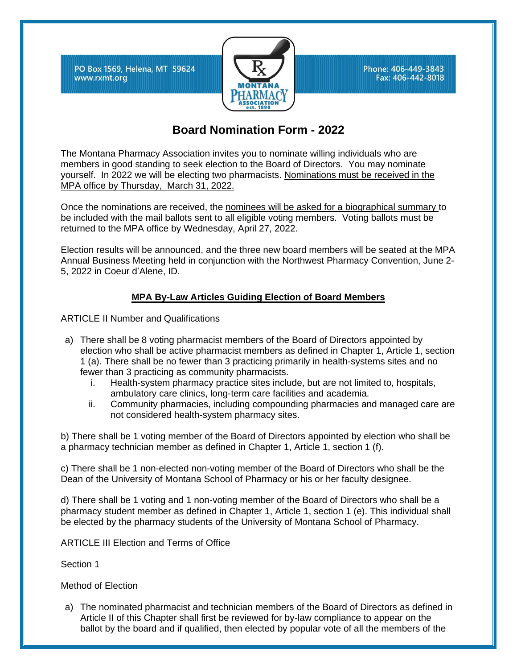PO Box 1569, Helena, MT 59624 www.rxmt.org



Phone: 406-449-3843 Fax: 406-442-8018

## **Board Nomination Form - 2022**

The Montana Pharmacy Association invites you to nominate willing individuals who are members in good standing to seek election to the Board of Directors. You may nominate yourself. In 2022 we will be electing two pharmacists. Nominations must be received in the MPA office by Thursday, March 31, 2022.

Once the nominations are received, the nominees will be asked for a biographical summary to be included with the mail ballots sent to all eligible voting members. Voting ballots must be returned to the MPA office by Wednesday, April 27, 2022.

Election results will be announced, and the three new board members will be seated at the MPA Annual Business Meeting held in conjunction with the Northwest Pharmacy Convention, June 2- 5, 2022 in Coeur d'Alene, ID.

## **MPA By-Law Articles Guiding Election of Board Members**

ARTICLE II Number and Qualifications

- a) There shall be 8 voting pharmacist members of the Board of Directors appointed by election who shall be active pharmacist members as defined in Chapter 1, Article 1, section 1 (a). There shall be no fewer than 3 practicing primarily in health-systems sites and no fewer than 3 practicing as community pharmacists.
	- i. Health-system pharmacy practice sites include, but are not limited to, hospitals, ambulatory care clinics, long-term care facilities and academia.
	- ii. Community pharmacies, including compounding pharmacies and managed care are not considered health-system pharmacy sites.

b) There shall be 1 voting member of the Board of Directors appointed by election who shall be a pharmacy technician member as defined in Chapter 1, Article 1, section 1 (f).

c) There shall be 1 non-elected non-voting member of the Board of Directors who shall be the Dean of the University of Montana School of Pharmacy or his or her faculty designee.

d) There shall be 1 voting and 1 non-voting member of the Board of Directors who shall be a pharmacy student member as defined in Chapter 1, Article 1, section 1 (e). This individual shall be elected by the pharmacy students of the University of Montana School of Pharmacy.

ARTICLE III Election and Terms of Office

Section 1

Method of Election

a) The nominated pharmacist and technician members of the Board of Directors as defined in Article II of this Chapter shall first be reviewed for by-law compliance to appear on the ballot by the board and if qualified, then elected by popular vote of all the members of the